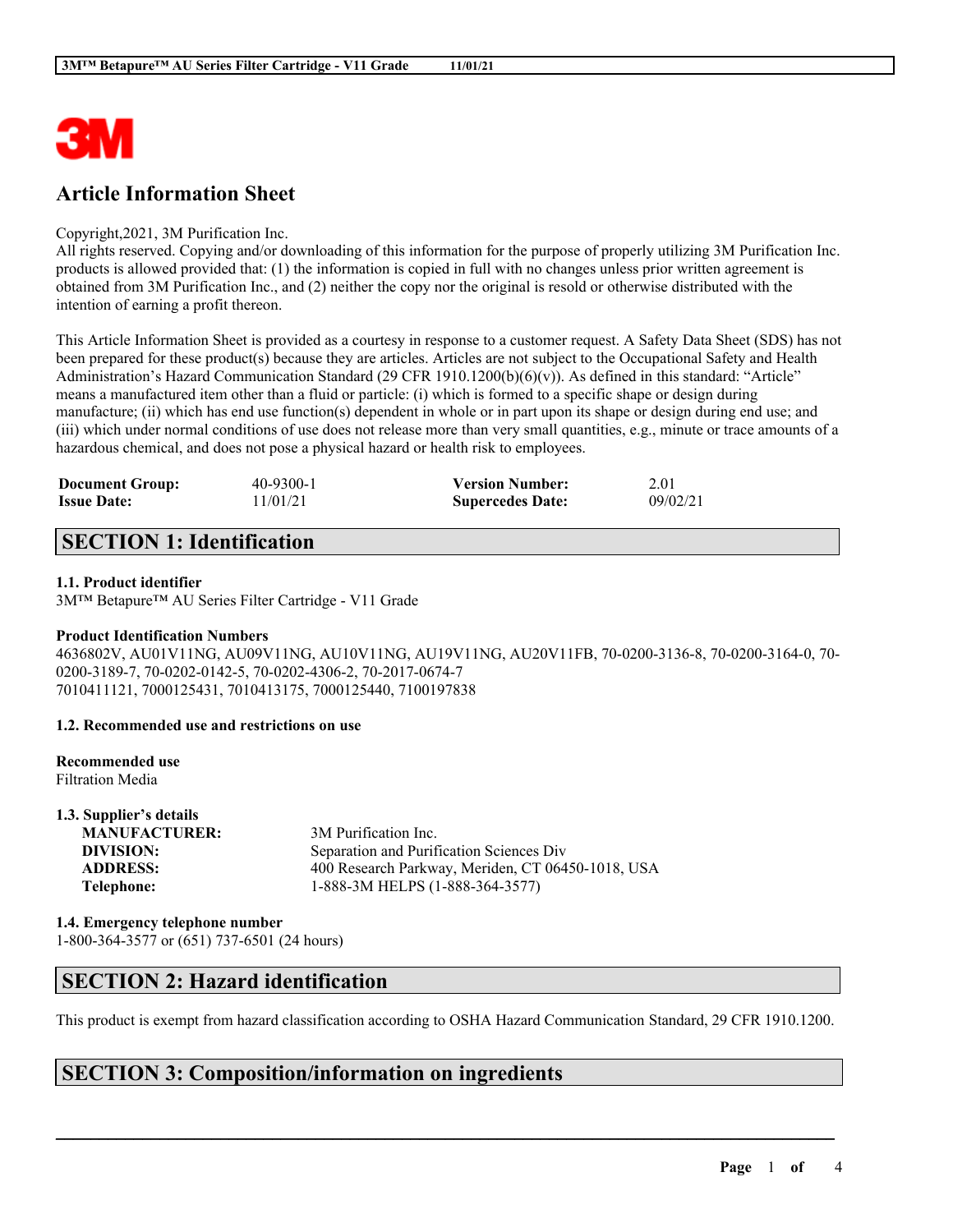

# **Article Information Sheet**

#### Copyright,2021, 3M Purification Inc.

All rights reserved. Copying and/or downloading of this information for the purpose of properly utilizing 3M Purification Inc. products is allowed provided that: (1) the information is copied in full with no changes unless prior written agreement is obtained from 3M Purification Inc., and (2) neither the copy nor the original is resold or otherwise distributed with the intention of earning a profit thereon.

This Article Information Sheet is provided as a courtesy in response to a customer request. A Safety Data Sheet (SDS) has not been prepared for these product(s) because they are articles. Articles are not subject to the Occupational Safety and Health Administration's Hazard Communication Standard (29 CFR 1910.1200(b)(6)(v)). As defined in this standard: "Article" means a manufactured item other than a fluid or particle: (i) which is formed to a specific shape or design during manufacture; (ii) which has end use function(s) dependent in whole or in part upon its shape or design during end use; and (iii) which under normal conditions of use does not release more than very small quantities, e.g., minute or trace amounts of a hazardous chemical, and does not pose a physical hazard or health risk to employees.

| <b>Document Group:</b> | 40-9300-1 | <b>Version Number:</b>  | 2.01     |
|------------------------|-----------|-------------------------|----------|
| <b>Issue Date:</b>     | 11/01/21  | <b>Supercedes Date:</b> | 09/02/21 |

# **SECTION 1: Identification**

#### **1.1. Product identifier**

3M™ Betapure™ AU Series Filter Cartridge - V11 Grade

#### **Product Identification Numbers**

4636802V, AU01V11NG, AU09V11NG, AU10V11NG, AU19V11NG, AU20V11FB, 70-0200-3136-8, 70-0200-3164-0, 70- 0200-3189-7, 70-0202-0142-5, 70-0202-4306-2, 70-2017-0674-7 7010411121, 7000125431, 7010413175, 7000125440, 7100197838

#### **1.2. Recommended use and restrictions on use**

# **Recommended use**

Filtration Media

| 1.3. Supplier's details |                                                   |
|-------------------------|---------------------------------------------------|
| <b>MANUFACTURER:</b>    | 3M Purification Inc.                              |
| DIVISION:               | Separation and Purification Sciences Div          |
| <b>ADDRESS:</b>         | 400 Research Parkway, Meriden, CT 06450-1018, USA |
| Telephone:              | 1-888-3M HELPS (1-888-364-3577)                   |
|                         |                                                   |

### **1.4. Emergency telephone number**

1-800-364-3577 or (651) 737-6501 (24 hours)

### **SECTION 2: Hazard identification**

This product is exempt from hazard classification according to OSHA Hazard Communication Standard, 29 CFR 1910.1200.

 $\mathcal{L}_\mathcal{L} = \mathcal{L}_\mathcal{L} = \mathcal{L}_\mathcal{L} = \mathcal{L}_\mathcal{L} = \mathcal{L}_\mathcal{L} = \mathcal{L}_\mathcal{L} = \mathcal{L}_\mathcal{L} = \mathcal{L}_\mathcal{L} = \mathcal{L}_\mathcal{L} = \mathcal{L}_\mathcal{L} = \mathcal{L}_\mathcal{L} = \mathcal{L}_\mathcal{L} = \mathcal{L}_\mathcal{L} = \mathcal{L}_\mathcal{L} = \mathcal{L}_\mathcal{L} = \mathcal{L}_\mathcal{L} = \mathcal{L}_\mathcal{L}$ 

### **SECTION 3: Composition/information on ingredients**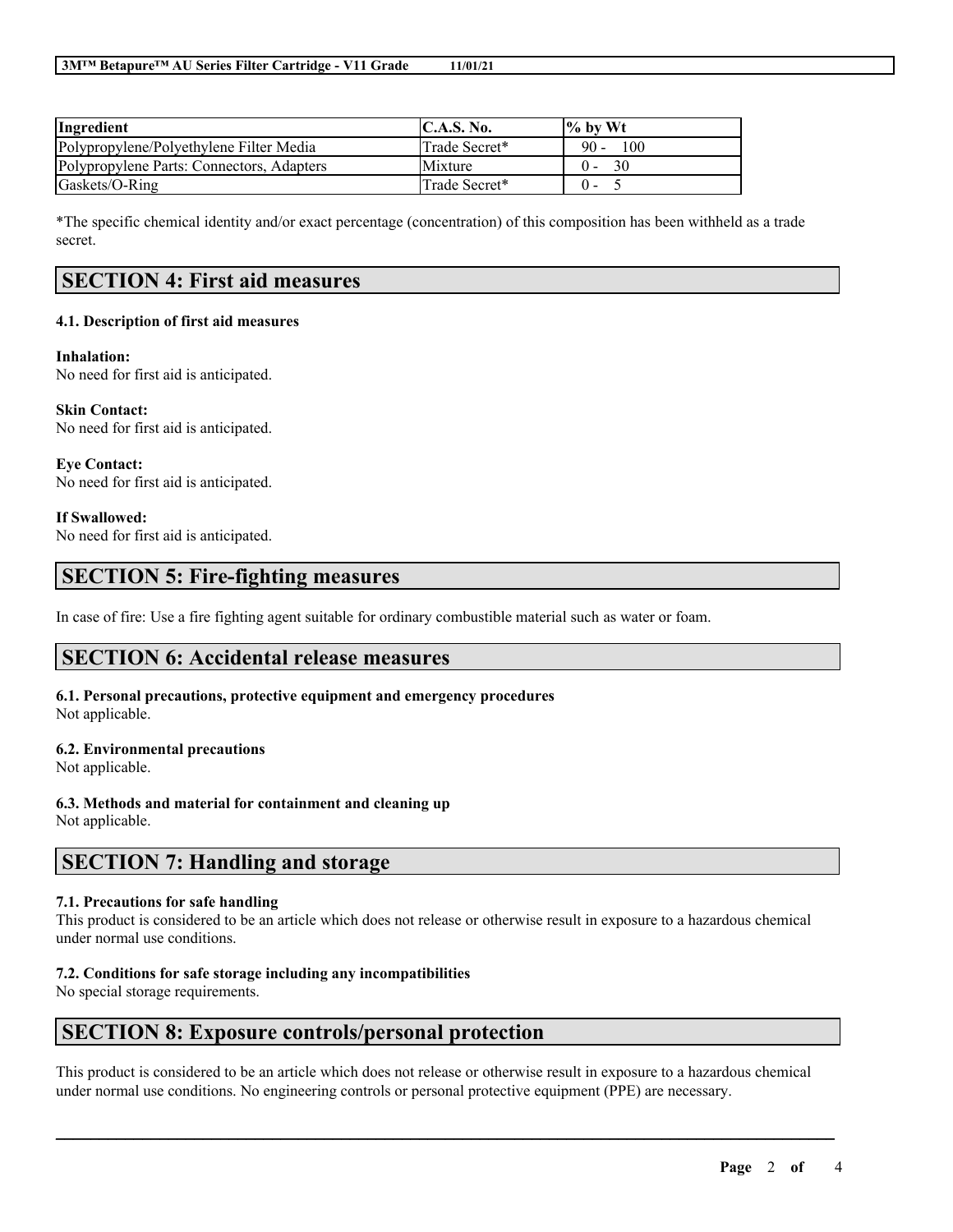| Ingredient                                | C.A.S. No.    | $\frac{6}{6}$ by Wt |
|-------------------------------------------|---------------|---------------------|
| Polypropylene/Polyethylene Filter Media   | Trade Secret* | $90 -$<br>100       |
| Polypropylene Parts: Connectors, Adapters | Mixture       | 30<br>$0 -$         |
| Gaskets/O-Ring                            | Trade Secret* | $\Omega$ –          |

\*The specific chemical identity and/or exact percentage (concentration) of this composition has been withheld as a trade secret.

# **SECTION 4: First aid measures**

#### **4.1. Description of first aid measures**

#### **Inhalation:**

No need for first aid is anticipated.

**Skin Contact:** No need for first aid is anticipated.

**Eye Contact:** No need for first aid is anticipated.

#### **If Swallowed:**

No need for first aid is anticipated.

# **SECTION 5: Fire-fighting measures**

In case of fire: Use a fire fighting agent suitable for ordinary combustible material such as water or foam.

# **SECTION 6: Accidental release measures**

**6.1. Personal precautions, protective equipment and emergency procedures** Not applicable.

#### **6.2. Environmental precautions**

Not applicable.

**6.3. Methods and material for containment and cleaning up** Not applicable.

### **SECTION 7: Handling and storage**

#### **7.1. Precautions for safe handling**

This product is considered to be an article which does not release or otherwise result in exposure to a hazardous chemical under normal use conditions.

#### **7.2. Conditions for safe storage including any incompatibilities**

No special storage requirements.

### **SECTION 8: Exposure controls/personal protection**

This product is considered to be an article which does not release or otherwise result in exposure to a hazardous chemical under normal use conditions. No engineering controls or personal protective equipment (PPE) are necessary.

 $\mathcal{L}_\mathcal{L} = \mathcal{L}_\mathcal{L} = \mathcal{L}_\mathcal{L} = \mathcal{L}_\mathcal{L} = \mathcal{L}_\mathcal{L} = \mathcal{L}_\mathcal{L} = \mathcal{L}_\mathcal{L} = \mathcal{L}_\mathcal{L} = \mathcal{L}_\mathcal{L} = \mathcal{L}_\mathcal{L} = \mathcal{L}_\mathcal{L} = \mathcal{L}_\mathcal{L} = \mathcal{L}_\mathcal{L} = \mathcal{L}_\mathcal{L} = \mathcal{L}_\mathcal{L} = \mathcal{L}_\mathcal{L} = \mathcal{L}_\mathcal{L}$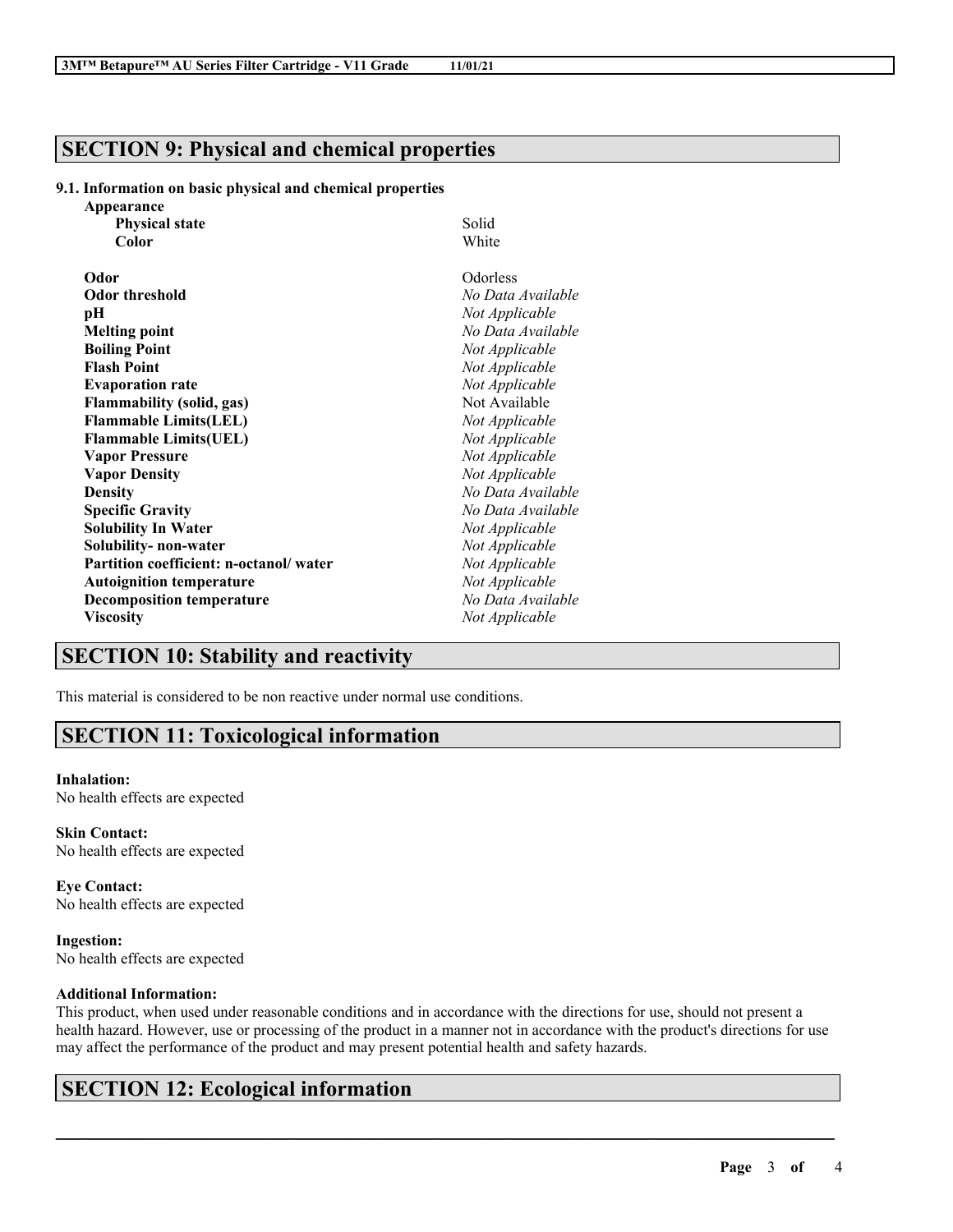### **SECTION 9: Physical and chemical properties**

#### **9.1. Information on basic physical and chemical properties**

| Appearance                             |                   |
|----------------------------------------|-------------------|
| <b>Physical state</b>                  | Solid             |
| Color                                  | White             |
| Odor                                   | Odorless          |
| <b>Odor threshold</b>                  | No Data Available |
| рH                                     | Not Applicable    |
| <b>Melting point</b>                   | No Data Available |
| <b>Boiling Point</b>                   | Not Applicable    |
| <b>Flash Point</b>                     | Not Applicable    |
| <b>Evaporation rate</b>                | Not Applicable    |
| <b>Flammability (solid, gas)</b>       | Not Available     |
| <b>Flammable Limits(LEL)</b>           | Not Applicable    |
| <b>Flammable Limits(UEL)</b>           | Not Applicable    |
| <b>Vapor Pressure</b>                  | Not Applicable    |
| <b>Vapor Density</b>                   | Not Applicable    |
| <b>Density</b>                         | No Data Available |
| <b>Specific Gravity</b>                | No Data Available |
| <b>Solubility In Water</b>             | Not Applicable    |
| Solubility- non-water                  | Not Applicable    |
| Partition coefficient: n-octanol/water | Not Applicable    |
| <b>Autoignition temperature</b>        | Not Applicable    |
| <b>Decomposition temperature</b>       | No Data Available |
| <b>Viscosity</b>                       | Not Applicable    |

### **SECTION 10: Stability and reactivity**

This material is considered to be non reactive under normal use conditions.

# **SECTION 11: Toxicological information**

#### **Inhalation:**

No health effects are expected

**Skin Contact:** No health effects are expected

**Eye Contact:** No health effects are expected

**Ingestion:** No health effects are expected

#### **Additional Information:**

This product, when used under reasonable conditions and in accordance with the directions for use, should not present a health hazard. However, use or processing of the product in a manner not in accordance with the product's directions for use may affect the performance of the product and may present potential health and safety hazards.

 $\mathcal{L}_\mathcal{L} = \mathcal{L}_\mathcal{L} = \mathcal{L}_\mathcal{L} = \mathcal{L}_\mathcal{L} = \mathcal{L}_\mathcal{L} = \mathcal{L}_\mathcal{L} = \mathcal{L}_\mathcal{L} = \mathcal{L}_\mathcal{L} = \mathcal{L}_\mathcal{L} = \mathcal{L}_\mathcal{L} = \mathcal{L}_\mathcal{L} = \mathcal{L}_\mathcal{L} = \mathcal{L}_\mathcal{L} = \mathcal{L}_\mathcal{L} = \mathcal{L}_\mathcal{L} = \mathcal{L}_\mathcal{L} = \mathcal{L}_\mathcal{L}$ 

# **SECTION 12: Ecological information**